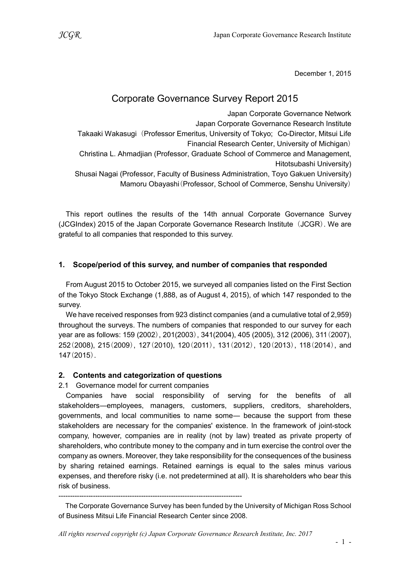December 1, 2015

# Corporate Governance Survey Report 2015

Japan Corporate Governance Network Japan Corporate Governance Research Institute Takaaki Wakasugi (Professor Emeritus, University of Tokyo; Co-Director, Mitsui Life Financial Research Center, University of Michigan) Christina L. Ahmadjian (Professor, Graduate School of Commerce and Management, Hitotsubashi University) Shusai Nagai (Professor, Faculty of Business Administration, Toyo Gakuen University) Mamoru Obayashi(Professor, School of Commerce, Senshu University)

This report outlines the results of the 14th annual Corporate Governance Survey (JCGIndex) 2015 of the Japan Corporate Governance Research Institute (JCGR). We are grateful to all companies that responded to this survey.

# 1. Scope/period of this survey, and number of companies that responded

From August 2015 to October 2015, we surveyed all companies listed on the First Section of the Tokyo Stock Exchange (1,888, as of August 4, 2015), of which 147 responded to the survey.

We have received responses from 923 distinct companies (and a cumulative total of 2,959) throughout the surveys. The numbers of companies that responded to our survey for each year are as follows: 159 (2002), 201(2003), 341(2004), 405 (2005), 312 (2006), 311(2007), 252(2008), 215(2009), 127(2010), 120(2011), 131(2012), 120(2013), 118(2014), and 147(2015).

# 2. Contents and categorization of questions

2.1 Governance model for current companies

Companies have social responsibility of serving for the benefits of all stakeholders―employees, managers, customers, suppliers, creditors, shareholders, governments, and local communities to name some― because the support from these stakeholders are necessary for the companies' existence. In the framework of joint-stock company, however, companies are in reality (not by law) treated as private property of shareholders, who contribute money to the company and in turn exercise the control over the company as owners. Moreover, they take responsibility for the consequences of the business by sharing retained earnings. Retained earnings is equal to the sales minus various expenses, and therefore risky (i.e. not predetermined at all). It is shareholders who bear this risk of business.

--------------------------------------------------------------------------------

The Corporate Governance Survey has been funded by the University of Michigan Ross School of Business Mitsui Life Financial Research Center since 2008.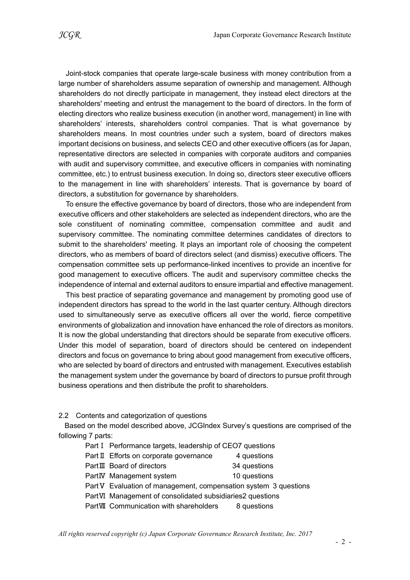Joint-stock companies that operate large-scale business with money contribution from a large number of shareholders assume separation of ownership and management. Although shareholders do not directly participate in management, they instead elect directors at the shareholders' meeting and entrust the management to the board of directors. In the form of electing directors who realize business execution (in another word, management) in line with shareholders' interests, shareholders control companies. That is what governance by shareholders means. In most countries under such a system, board of directors makes important decisions on business, and selects CEO and other executive officers (as for Japan, representative directors are selected in companies with corporate auditors and companies with audit and supervisory committee, and executive officers in companies with nominating committee, etc.) to entrust business execution. In doing so, directors steer executive officers to the management in line with shareholders' interests. That is governance by board of directors, a substitution for governance by shareholders.

To ensure the effective governance by board of directors, those who are independent from executive officers and other stakeholders are selected as independent directors, who are the sole constituent of nominating committee, compensation committee and audit and supervisory committee. The nominating committee determines candidates of directors to submit to the shareholders' meeting. It plays an important role of choosing the competent directors, who as members of board of directors select (and dismiss) executive officers. The compensation committee sets up performance-linked incentives to provide an incentive for good management to executive officers. The audit and supervisory committee checks the independence of internal and external auditors to ensure impartial and effective management.

This best practice of separating governance and management by promoting good use of independent directors has spread to the world in the last quarter century. Although directors used to simultaneously serve as executive officers all over the world, fierce competitive environments of globalization and innovation have enhanced the role of directors as monitors. It is now the global understanding that directors should be separate from executive officers. Under this model of separation, board of directors should be centered on independent directors and focus on governance to bring about good management from executive officers, who are selected by board of directors and entrusted with management. Executives establish the management system under the governance by board of directors to pursue profit through business operations and then distribute the profit to shareholders.

2.2 Contents and categorization of questions

Based on the model described above, JCGIndex Survey's questions are comprised of the following 7 parts:

- Part I Performance targets, leadership of CEO7 questions
- Part Ⅱ Efforts on corporate governance 4 questions
- PartⅢ Board of directors 34 questions
- PartIV Management system 10 questions
- Part V Evaluation of management, compensation system 3 questions
- PartⅥ Management of consolidated subsidiaries2 questions
- PartMI Communication with shareholders 8 questions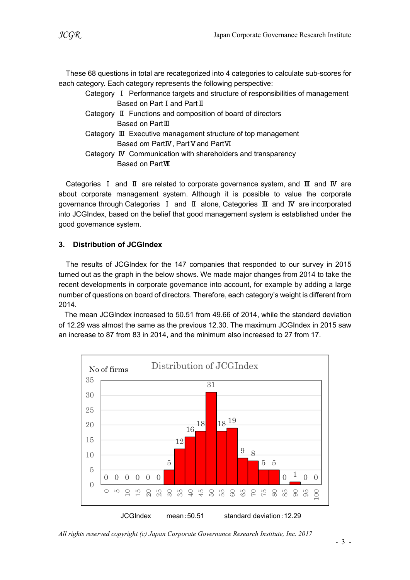These 68 questions in total are recategorized into 4 categories to calculate sub-scores for each category. Each category represents the following perspective:

- Category Ⅰ Performance targets and structure of responsibilities of management Based on Part I and Part II
- Category Ⅱ Functions and composition of board of directors Based on PartⅢ
- Category Ⅲ Executive management structure of top management Based om PartIV, Part V and PartVI
- Category Ⅳ Communication with shareholders and transparency Based on PartⅦ

Categories Ⅰ and Ⅱ are related to corporate governance system, and Ⅲ and Ⅳ are about corporate management system. Although it is possible to value the corporate governance through Categories Ⅰ and Ⅱ alone, Categories Ⅲ and Ⅳ are incorporated into JCGIndex, based on the belief that good management system is established under the good governance system.

### 3. Distribution of JCGIndex

The results of JCGIndex for the 147 companies that responded to our survey in 2015 turned out as the graph in the below shows. We made major changes from 2014 to take the recent developments in corporate governance into account, for example by adding a large number of questions on board of directors. Therefore, each category's weight is different from 2014.

The mean JCGIndex increased to 50.51 from 49.66 of 2014, while the standard deviation of 12.29 was almost the same as the previous 12.30. The maximum JCGIndex in 2015 saw an increase to 87 from 83 in 2014, and the minimum also increased to 27 from 17.



All rights reserved copyright (c) Japan Corporate Governance Research Institute, Inc. 2017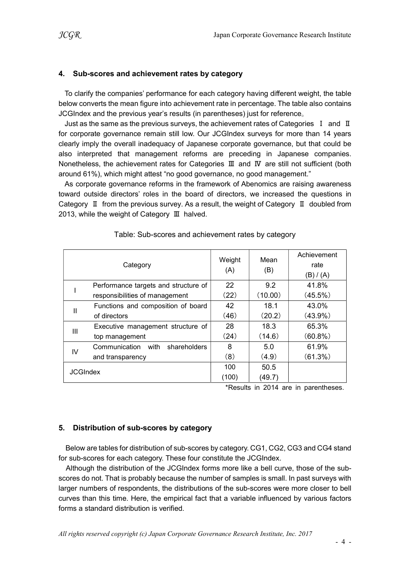#### 4. Sub-scores and achievement rates by category

To clarify the companies' performance for each category having different weight, the table below converts the mean figure into achievement rate in percentage. The table also contains JCGIndex and the previous year's results (in parentheses) just for reference。

Just as the same as the previous surveys, the achievement rates of Categories  $I$  and  $II$ for corporate governance remain still low. Our JCGIndex surveys for more than 14 years clearly imply the overall inadequacy of Japanese corporate governance, but that could be also interpreted that management reforms are preceding in Japanese companies. Nonetheless, the achievement rates for Categories III and IV are still not sufficient (both around 61%), which might attest "no good governance, no good management."

As corporate governance reforms in the framework of Abenomics are raising awareness toward outside directors' roles in the board of directors, we increased the questions in Category Ⅱ from the previous survey. As a result, the weight of Category Ⅱ doubled from 2013, while the weight of Category Ⅲ halved.

|                 | Category                             | Weight<br>(A) | Mean<br>(B) | Achievement<br>rate<br>(B) / (A) |
|-----------------|--------------------------------------|---------------|-------------|----------------------------------|
|                 | Performance targets and structure of | 22            | 9.2         | 41.8%                            |
|                 | responsibilities of management       | (22)          | (10.00)     | $(45.5\%)$                       |
| Ш               | Functions and composition of board   | 42            | 18.1        | 43.0%                            |
|                 | of directors                         | (46)          | (20.2)      | $(43.9\%)$                       |
| Ш               | Executive management structure of    | 28            | 18.3        | 65.3%                            |
|                 | top management                       | (24)          | (14.6)      | $(60.8\%)$                       |
| IV              | Communication with<br>shareholders   | 8             | 5.0         | 61.9%                            |
|                 | and transparency                     | (8)           | (4.9)       | (61.3%)                          |
| <b>JCGIndex</b> |                                      | 100           | 50.5        |                                  |
|                 |                                      | (100)         | (49.7)      |                                  |

#### Table: Sub-scores and achievement rates by category

\*Results in 2014 are in parentheses.

#### 5. Distribution of sub-scores by category

Below are tables for distribution of sub-scores by category. CG1, CG2, CG3 and CG4 stand for sub-scores for each category. These four constitute the JCGIndex.

Although the distribution of the JCGIndex forms more like a bell curve, those of the subscores do not. That is probably because the number of samples is small. In past surveys with larger numbers of respondents, the distributions of the sub-scores were more closer to bell curves than this time. Here, the empirical fact that a variable influenced by various factors forms a standard distribution is verified.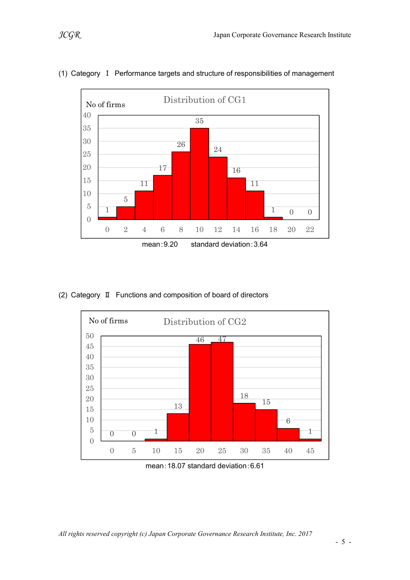

## (1) Category Ⅰ Performance targets and structure of responsibilities of management

(2) Category Ⅱ Functions and composition of board of directors



mean:18.07 standard deviation:6.61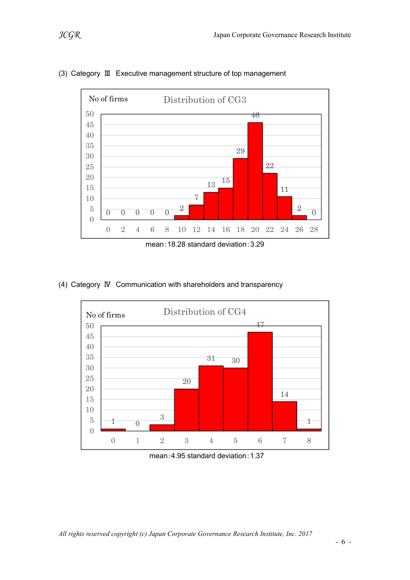

## (3) Category Ⅲ Executive management structure of top management



#### (4) Category Ⅳ Communication with shareholders and transparency



mean:4.95 standard deviation:1.37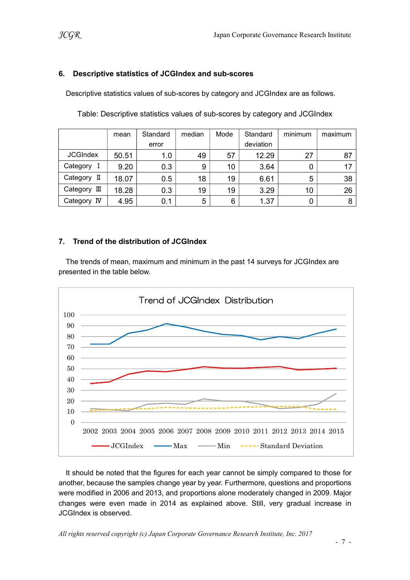### 6. Descriptive statistics of JCGIndex and sub-scores

Descriptive statistics values of sub-scores by category and JCGIndex are as follows.

|                 | mean  | Standard | median | Mode | Standard  | minimum | maximum |
|-----------------|-------|----------|--------|------|-----------|---------|---------|
|                 |       | error    |        |      | deviation |         |         |
| <b>JCGIndex</b> | 50.51 | 1.0      | 49     | 57   | 12.29     | 27      | 87      |
| Category        | 9.20  | 0.3      | 9      | 10   | 3.64      |         | 17      |
| Category II     | 18.07 | 0.5      | 18     | 19   | 6.61      | 5       | 38      |
| Category<br>Ш   | 18.28 | 0.3      | 19     | 19   | 3.29      | 10      | 26      |
| Category IV     | 4.95  | 0.1      | 5      | 6    | 1.37      |         | 8       |

Table: Descriptive statistics values of sub-scores by category and JCGIndex

## 7. Trend of the distribution of JCGIndex

The trends of mean, maximum and minimum in the past 14 surveys for JCGIndex are presented in the table below.



It should be noted that the figures for each year cannot be simply compared to those for another, because the samples change year by year. Furthermore, questions and proportions were modified in 2006 and 2013, and proportions alone moderately changed in 2009. Major changes were even made in 2014 as explained above. Still, very gradual increase in JCGIndex is observed.

All rights reserved copyright (c) Japan Corporate Governance Research Institute, Inc. 2017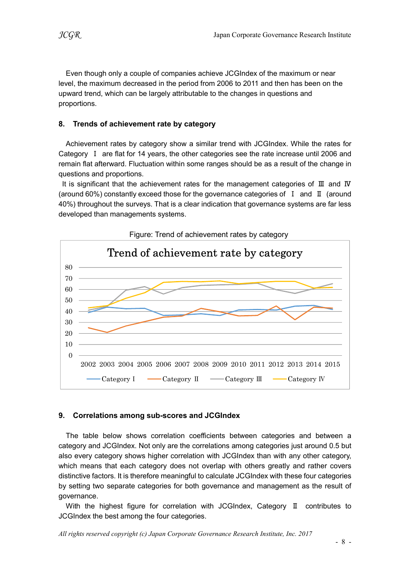Even though only a couple of companies achieve JCGIndex of the maximum or near level, the maximum decreased in the period from 2006 to 2011 and then has been on the upward trend, which can be largely attributable to the changes in questions and proportions.

## 8. Trends of achievement rate by category

Achievement rates by category show a similar trend with JCGIndex. While the rates for Category Ⅰ are flat for 14 years, the other categories see the rate increase until 2006 and remain flat afterward. Fluctuation within some ranges should be as a result of the change in questions and proportions.

It is significant that the achievement rates for the management categories of Ⅲ and Ⅳ (around 60%) constantly exceed those for the governance categories of Ⅰ and Ⅱ (around 40%) throughout the surveys. That is a clear indication that governance systems are far less developed than managements systems.



#### Figure: Trend of achievement rates by category

#### 9. Correlations among sub-scores and JCGIndex

The table below shows correlation coefficients between categories and between a category and JCGIndex. Not only are the correlations among categories just around 0.5 but also every category shows higher correlation with JCGIndex than with any other category, which means that each category does not overlap with others greatly and rather covers distinctive factors. It is therefore meaningful to calculate JCGIndex with these four categories by setting two separate categories for both governance and management as the result of governance.

With the highest figure for correlation with JCGIndex, Category II contributes to JCGIndex the best among the four categories.

All rights reserved copyright (c) Japan Corporate Governance Research Institute, Inc. 2017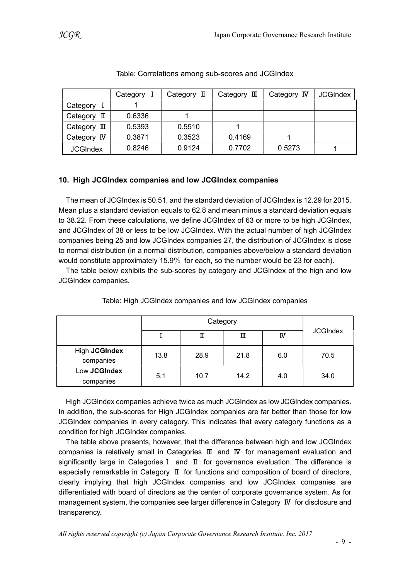|                 | Category I | Category $\mathbb I$ | Category $\mathbb I$ | Category IV | <b>JCGIndex</b> |
|-----------------|------------|----------------------|----------------------|-------------|-----------------|
| Category        |            |                      |                      |             |                 |
| Category<br>п   | 0.6336     |                      |                      |             |                 |
| Category<br>皿   | 0.5393     | 0.5510               |                      |             |                 |
| Category IV     | 0.3871     | 0.3523               | 0.4169               |             |                 |
| <b>JCGIndex</b> | 0.8246     | 0.9124               | 0.7702               | 0.5273      |                 |

### Table: Correlations among sub-scores and JCGIndex

### 10. High JCGIndex companies and low JCGIndex companies

The mean of JCGIndex is 50.51, and the standard deviation of JCGIndex is 12.29 for 2015. Mean plus a standard deviation equals to 62.8 and mean minus a standard deviation equals to 38.22. From these calculations, we define JCGIndex of 63 or more to be high JCGIndex, and JCGIndex of 38 or less to be low JCGIndex. With the actual number of high JCGIndex companies being 25 and low JCGIndex companies 27, the distribution of JCGIndex is close to normal distribution (in a normal distribution, companies above/below a standard deviation would constitute approximately 15.9% for each, so the number would be 23 for each).

The table below exhibits the sub-scores by category and JCGIndex of the high and low JCGIndex companies.

|                            |      | П    | Ш    | IV  | <b>JCGIndex</b> |
|----------------------------|------|------|------|-----|-----------------|
| High JCGIndex<br>companies | 13.8 | 28.9 | 21.8 | 6.0 | 70.5            |
| Low JCGIndex<br>companies  | 5.1  | 10.7 | 14.2 | 4.0 | 34.0            |

Table: High JCGIndex companies and low JCGIndex companies

High JCGIndex companies achieve twice as much JCGIndex as low JCGIndex companies. In addition, the sub-scores for High JCGIndex companies are far better than those for low JCGIndex companies in every category. This indicates that every category functions as a condition for high JCGIndex companies.

The table above presents, however, that the difference between high and low JCGIndex companies is relatively small in Categories Ⅲ and Ⅳ for management evaluation and significantly large in CategoriesⅠ and Ⅱ for governance evaluation. The difference is especially remarkable in Category Ⅱ for functions and composition of board of directors, clearly implying that high JCGIndex companies and low JCGIndex companies are differentiated with board of directors as the center of corporate governance system. As for management system, the companies see larger difference in Category Ⅳ for disclosure and transparency.